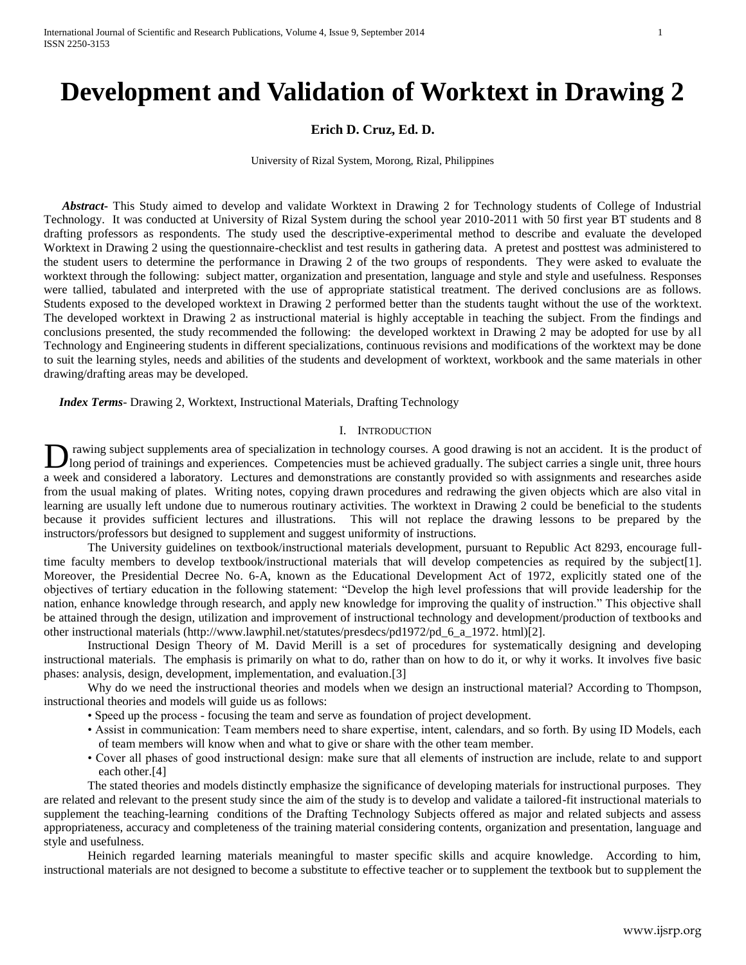# **Development and Validation of Worktext in Drawing 2**

# **Erich D. Cruz, Ed. D.**

University of Rizal System, Morong, Rizal, Philippines

 *Abstract***-** This Study aimed to develop and validate Worktext in Drawing 2 for Technology students of College of Industrial Technology. It was conducted at University of Rizal System during the school year 2010-2011 with 50 first year BT students and 8 drafting professors as respondents. The study used the descriptive-experimental method to describe and evaluate the developed Worktext in Drawing 2 using the questionnaire-checklist and test results in gathering data. A pretest and posttest was administered to the student users to determine the performance in Drawing 2 of the two groups of respondents. They were asked to evaluate the worktext through the following: subject matter, organization and presentation, language and style and style and usefulness. Responses were tallied, tabulated and interpreted with the use of appropriate statistical treatment. The derived conclusions are as follows. Students exposed to the developed worktext in Drawing 2 performed better than the students taught without the use of the worktext. The developed worktext in Drawing 2 as instructional material is highly acceptable in teaching the subject. From the findings and conclusions presented, the study recommended the following: the developed worktext in Drawing 2 may be adopted for use by all Technology and Engineering students in different specializations, continuous revisions and modifications of the worktext may be done to suit the learning styles, needs and abilities of the students and development of worktext, workbook and the same materials in other drawing/drafting areas may be developed.

 *Index Terms*- Drawing 2, Worktext, Instructional Materials, Drafting Technology

### I. INTRODUCTION

rawing subject supplements area of specialization in technology courses. A good drawing is not an accident. It is the product of long period of trainings and experiences. Competencies must be achieved gradually. The subject carries a single unit, three hours I rawing subject supplements area of specialization in technology courses. A good drawing is not an accident. It is the product of long period of trainings and experiences. Competencies must be achieved gradually. The subj from the usual making of plates. Writing notes, copying drawn procedures and redrawing the given objects which are also vital in learning are usually left undone due to numerous routinary activities. The worktext in Drawing 2 could be beneficial to the students because it provides sufficient lectures and illustrations. This will not replace the drawing lessons to be prepared by the instructors/professors but designed to supplement and suggest uniformity of instructions.

The University guidelines on textbook/instructional materials development, pursuant to Republic Act 8293, encourage fulltime faculty members to develop textbook/instructional materials that will develop competencies as required by the subject[1]. Moreover, the Presidential Decree No. 6-A, known as the Educational Development Act of 1972, explicitly stated one of the objectives of tertiary education in the following statement: "Develop the high level professions that will provide leadership for the nation, enhance knowledge through research, and apply new knowledge for improving the quality of instruction." This objective shall be attained through the design, utilization and improvement of instructional technology and development/production of textbooks and other instructional materials (http://www.lawphil.net/statutes/presdecs/pd1972/pd\_6\_a\_1972. html)[2].

Instructional Design Theory of M. David Merill is a set of procedures for systematically designing and developing instructional materials. The emphasis is primarily on what to do, rather than on how to do it, or why it works. It involves five basic phases: analysis, design, development, implementation, and evaluation.[3]

Why do we need the instructional theories and models when we design an instructional material? According to Thompson, instructional theories and models will guide us as follows:

- Speed up the process focusing the team and serve as foundation of project development.
- Assist in communication: Team members need to share expertise, intent, calendars, and so forth. By using ID Models, each of team members will know when and what to give or share with the other team member.
- Cover all phases of good instructional design: make sure that all elements of instruction are include, relate to and support each other.[4]

The stated theories and models distinctly emphasize the significance of developing materials for instructional purposes. They are related and relevant to the present study since the aim of the study is to develop and validate a tailored-fit instructional materials to supplement the teaching-learning conditions of the Drafting Technology Subjects offered as major and related subjects and assess appropriateness, accuracy and completeness of the training material considering contents, organization and presentation, language and style and usefulness.

Heinich regarded learning materials meaningful to master specific skills and acquire knowledge. According to him, instructional materials are not designed to become a substitute to effective teacher or to supplement the textbook but to supplement the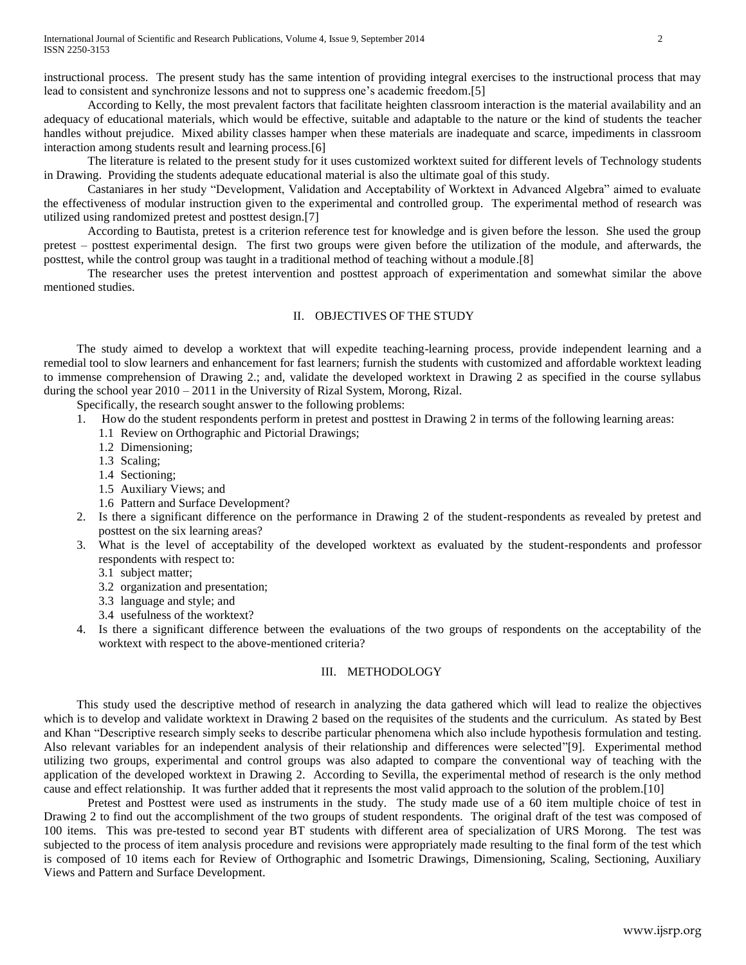instructional process. The present study has the same intention of providing integral exercises to the instructional process that may lead to consistent and synchronize lessons and not to suppress one's academic freedom.[5]

According to Kelly, the most prevalent factors that facilitate heighten classroom interaction is the material availability and an adequacy of educational materials, which would be effective, suitable and adaptable to the nature or the kind of students the teacher handles without prejudice. Mixed ability classes hamper when these materials are inadequate and scarce, impediments in classroom interaction among students result and learning process.[6]

The literature is related to the present study for it uses customized worktext suited for different levels of Technology students in Drawing. Providing the students adequate educational material is also the ultimate goal of this study.

Castaniares in her study "Development, Validation and Acceptability of Worktext in Advanced Algebra" aimed to evaluate the effectiveness of modular instruction given to the experimental and controlled group. The experimental method of research was utilized using randomized pretest and posttest design.[7]

According to Bautista, pretest is a criterion reference test for knowledge and is given before the lesson. She used the group pretest – posttest experimental design. The first two groups were given before the utilization of the module, and afterwards, the posttest, while the control group was taught in a traditional method of teaching without a module.[8]

The researcher uses the pretest intervention and posttest approach of experimentation and somewhat similar the above mentioned studies.

# II. OBJECTIVES OF THE STUDY

The study aimed to develop a worktext that will expedite teaching-learning process, provide independent learning and a remedial tool to slow learners and enhancement for fast learners; furnish the students with customized and affordable worktext leading to immense comprehension of Drawing 2.; and, validate the developed worktext in Drawing 2 as specified in the course syllabus during the school year 2010 – 2011 in the University of Rizal System, Morong, Rizal.

Specifically, the research sought answer to the following problems:

- 1. How do the student respondents perform in pretest and posttest in Drawing 2 in terms of the following learning areas:
	- 1.1 Review on Orthographic and Pictorial Drawings;
	- 1.2 Dimensioning;
	- 1.3 Scaling;
	- 1.4 Sectioning;
	- 1.5 Auxiliary Views; and
	- 1.6 Pattern and Surface Development?
- 2. Is there a significant difference on the performance in Drawing 2 of the student-respondents as revealed by pretest and posttest on the six learning areas?
- 3. What is the level of acceptability of the developed worktext as evaluated by the student-respondents and professor respondents with respect to:
	- 3.1 subject matter;
	- 3.2 organization and presentation;
	- 3.3 language and style; and
	- 3.4 usefulness of the worktext?
- 4. Is there a significant difference between the evaluations of the two groups of respondents on the acceptability of the worktext with respect to the above-mentioned criteria?

### III. METHODOLOGY

This study used the descriptive method of research in analyzing the data gathered which will lead to realize the objectives which is to develop and validate worktext in Drawing 2 based on the requisites of the students and the curriculum. As stated by Best and Khan "Descriptive research simply seeks to describe particular phenomena which also include hypothesis formulation and testing. Also relevant variables for an independent analysis of their relationship and differences were selected"[9]. Experimental method utilizing two groups, experimental and control groups was also adapted to compare the conventional way of teaching with the application of the developed worktext in Drawing 2. According to Sevilla, the experimental method of research is the only method cause and effect relationship. It was further added that it represents the most valid approach to the solution of the problem.[10]

Pretest and Posttest were used as instruments in the study. The study made use of a 60 item multiple choice of test in Drawing 2 to find out the accomplishment of the two groups of student respondents. The original draft of the test was composed of 100 items. This was pre-tested to second year BT students with different area of specialization of URS Morong. The test was subjected to the process of item analysis procedure and revisions were appropriately made resulting to the final form of the test which is composed of 10 items each for Review of Orthographic and Isometric Drawings, Dimensioning, Scaling, Sectioning, Auxiliary Views and Pattern and Surface Development.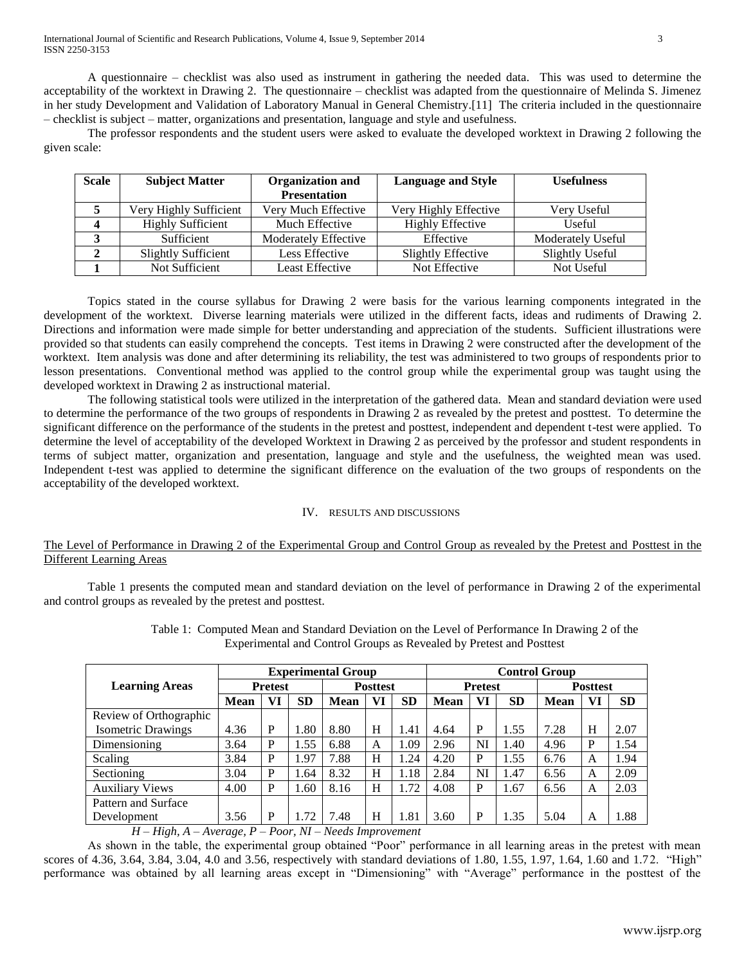International Journal of Scientific and Research Publications, Volume 4, Issue 9, September 2014 3 ISSN 2250-3153

A questionnaire – checklist was also used as instrument in gathering the needed data. This was used to determine the acceptability of the worktext in Drawing 2. The questionnaire – checklist was adapted from the questionnaire of Melinda S. Jimenez in her study Development and Validation of Laboratory Manual in General Chemistry.[11] The criteria included in the questionnaire – checklist is subject – matter, organizations and presentation, language and style and usefulness.

The professor respondents and the student users were asked to evaluate the developed worktext in Drawing 2 following the given scale:

| <b>Scale</b> | <b>Subject Matter</b>                         | <b>Organization and</b> | <b>Language and Style</b> | <b>Usefulness</b>      |  |  |
|--------------|-----------------------------------------------|-------------------------|---------------------------|------------------------|--|--|
|              |                                               | <b>Presentation</b>     |                           |                        |  |  |
|              | Very Much Effective<br>Very Highly Sufficient |                         | Very Highly Effective     | Very Useful            |  |  |
|              | <b>Highly Sufficient</b>                      | Much Effective          | <b>Highly Effective</b>   | Useful                 |  |  |
|              | Sufficient                                    | Moderately Effective    | Effective                 | Moderately Useful      |  |  |
|              | <b>Slightly Sufficient</b>                    | Less Effective          | Slightly Effective        | <b>Slightly Useful</b> |  |  |
|              | Not Sufficient                                | Least Effective         | Not Effective             | Not Useful             |  |  |

Topics stated in the course syllabus for Drawing 2 were basis for the various learning components integrated in the development of the worktext. Diverse learning materials were utilized in the different facts, ideas and rudiments of Drawing 2. Directions and information were made simple for better understanding and appreciation of the students. Sufficient illustrations were provided so that students can easily comprehend the concepts. Test items in Drawing 2 were constructed after the development of the worktext. Item analysis was done and after determining its reliability, the test was administered to two groups of respondents prior to lesson presentations. Conventional method was applied to the control group while the experimental group was taught using the developed worktext in Drawing 2 as instructional material.

The following statistical tools were utilized in the interpretation of the gathered data. Mean and standard deviation were used to determine the performance of the two groups of respondents in Drawing 2 as revealed by the pretest and posttest. To determine the significant difference on the performance of the students in the pretest and posttest, independent and dependent t-test were applied. To determine the level of acceptability of the developed Worktext in Drawing 2 as perceived by the professor and student respondents in terms of subject matter, organization and presentation, language and style and the usefulness, the weighted mean was used. Independent t-test was applied to determine the significant difference on the evaluation of the two groups of respondents on the acceptability of the developed worktext.

## IV. RESULTS AND DISCUSSIONS

# The Level of Performance in Drawing 2 of the Experimental Group and Control Group as revealed by the Pretest and Posttest in the Different Learning Areas

Table 1 presents the computed mean and standard deviation on the level of performance in Drawing 2 of the experimental and control groups as revealed by the pretest and posttest.

|                           |             | <b>Experimental Group</b> |           |                 | <b>Control Group</b> |           |                |    |           |                 |    |           |
|---------------------------|-------------|---------------------------|-----------|-----------------|----------------------|-----------|----------------|----|-----------|-----------------|----|-----------|
| <b>Learning Areas</b>     | Pretest     |                           |           | <b>Posttest</b> |                      |           | <b>Pretest</b> |    |           | <b>Posttest</b> |    |           |
|                           | <b>Mean</b> | VI                        | <b>SD</b> | <b>Mean</b>     | VI                   | <b>SD</b> | <b>Mean</b>    | VI | <b>SD</b> | <b>Mean</b>     | VI | <b>SD</b> |
| Review of Orthographic    |             |                           |           |                 |                      |           |                |    |           |                 |    |           |
| <b>Isometric Drawings</b> | 4.36        | P                         | 1.80      | 8.80            | Н                    | 1.41      | 4.64           | P  | 1.55      | 7.28            | H  | 2.07      |
| Dimensioning              | 3.64        | P                         | 1.55      | 6.88            | A                    | 1.09      | 2.96           | NI | 1.40      | 4.96            | P  | 1.54      |
| Scaling                   | 3.84        | P                         | .97       | 7.88            | Н                    | .24       | 4.20           | P  | 1.55      | 6.76            | A  | 1.94      |
| Sectioning                | 3.04        | P                         | 1.64      | 8.32            | Н                    | 1.18      | 2.84           | NI | 1.47      | 6.56            | A  | 2.09      |
| <b>Auxiliary Views</b>    | 4.00        | P                         | 1.60      | 8.16            | H                    | 1.72      | 4.08           | P  | 1.67      | 6.56            | A  | 2.03      |
| Pattern and Surface       |             |                           |           |                 |                      |           |                |    |           |                 |    |           |
| Development               | 3.56        | P                         | .72       | 7.48            | H                    | 1.81      | 3.60           | P  | 1.35      | 5.04            | A  | 1.88      |

Table 1: Computed Mean and Standard Deviation on the Level of Performance In Drawing 2 of the Experimental and Control Groups as Revealed by Pretest and Posttest

*H – High, A – Average, P – Poor, NI – Needs Improvement*

As shown in the table, the experimental group obtained "Poor" performance in all learning areas in the pretest with mean scores of 4.36, 3.64, 3.84, 3.04, 4.0 and 3.56, respectively with standard deviations of 1.80, 1.55, 1.97, 1.64, 1.60 and 1.72. "High" performance was obtained by all learning areas except in "Dimensioning" with "Average" performance in the posttest of the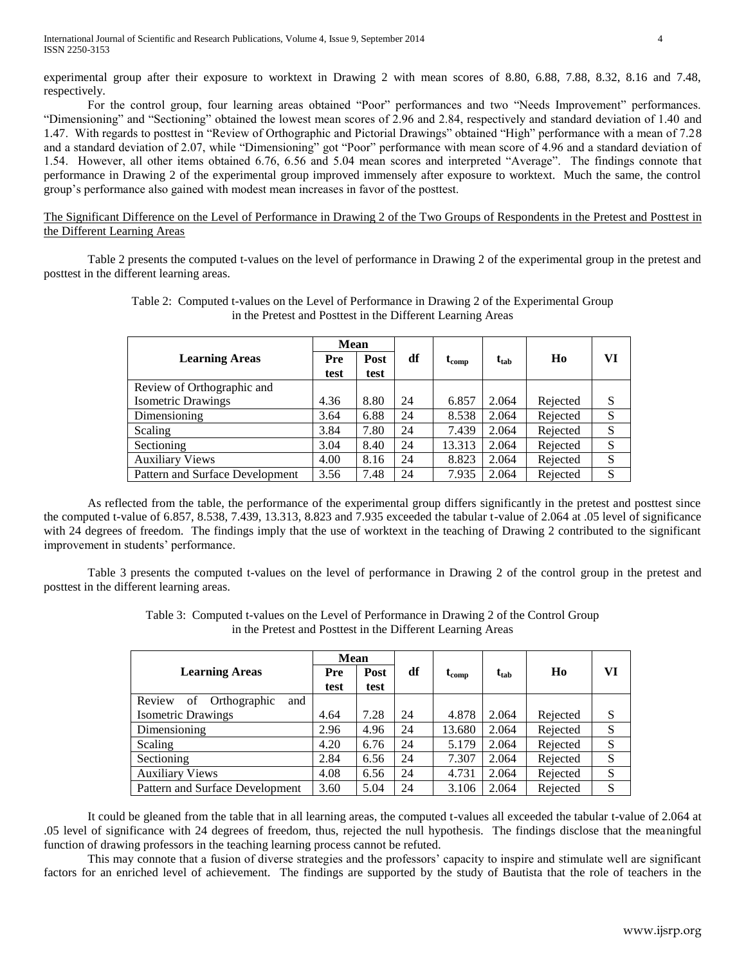experimental group after their exposure to worktext in Drawing 2 with mean scores of 8.80, 6.88, 7.88, 8.32, 8.16 and 7.48, respectively.

For the control group, four learning areas obtained "Poor" performances and two "Needs Improvement" performances. "Dimensioning" and "Sectioning" obtained the lowest mean scores of 2.96 and 2.84, respectively and standard deviation of 1.40 and 1.47. With regards to posttest in "Review of Orthographic and Pictorial Drawings" obtained "High" performance with a mean of 7.28 and a standard deviation of 2.07, while "Dimensioning" got "Poor" performance with mean score of 4.96 and a standard deviation of 1.54. However, all other items obtained 6.76, 6.56 and 5.04 mean scores and interpreted "Average". The findings connote that performance in Drawing 2 of the experimental group improved immensely after exposure to worktext. Much the same, the control group's performance also gained with modest mean increases in favor of the posttest.

The Significant Difference on the Level of Performance in Drawing 2 of the Two Groups of Respondents in the Pretest and Posttest in the Different Learning Areas

Table 2 presents the computed t-values on the level of performance in Drawing 2 of the experimental group in the pretest and posttest in the different learning areas.

|                                 | Mean |      |    |                |                           |          |    |
|---------------------------------|------|------|----|----------------|---------------------------|----------|----|
| <b>Learning Areas</b><br>Pre    |      | Post | df | $\iota_{comp}$ | $\mathbf{t}_{\text{tab}}$ | Ho       | VI |
|                                 | test | test |    |                |                           |          |    |
| Review of Orthographic and      |      |      |    |                |                           |          |    |
| <b>Isometric Drawings</b>       | 4.36 | 8.80 | 24 | 6.857          | 2.064                     | Rejected | S  |
| Dimensioning                    | 3.64 | 6.88 | 24 | 8.538          | 2.064                     | Rejected | S  |
| Scaling                         | 3.84 | 7.80 | 24 | 7.439          | 2.064                     | Rejected | S  |
| Sectioning                      | 3.04 | 8.40 | 24 | 13.313         | 2.064                     | Rejected | S  |
| <b>Auxiliary Views</b>          | 4.00 | 8.16 | 24 | 8.823          | 2.064                     | Rejected | S  |
| Pattern and Surface Development | 3.56 | 7.48 | 24 | 7.935          | 2.064                     | Rejected | S  |

Table 2: Computed t-values on the Level of Performance in Drawing 2 of the Experimental Group in the Pretest and Posttest in the Different Learning Areas

As reflected from the table, the performance of the experimental group differs significantly in the pretest and posttest since the computed t-value of 6.857, 8.538, 7.439, 13.313, 8.823 and 7.935 exceeded the tabular t-value of 2.064 at .05 level of significance with 24 degrees of freedom. The findings imply that the use of worktext in the teaching of Drawing 2 contributed to the significant improvement in students' performance.

Table 3 presents the computed t-values on the level of performance in Drawing 2 of the control group in the pretest and posttest in the different learning areas.

|                                     | Mean |      |    |            |           |                |    |
|-------------------------------------|------|------|----|------------|-----------|----------------|----|
| <b>Learning Areas</b>               | Pre  | Post | df | $t_{comp}$ | $t_{tab}$ | H <sub>0</sub> | VI |
|                                     | test | test |    |            |           |                |    |
| Orthographic<br>and<br>Review<br>of |      |      |    |            |           |                |    |
| <b>Isometric Drawings</b>           | 4.64 | 7.28 | 24 | 4.878      | 2.064     | Rejected       | S  |
| Dimensioning                        | 2.96 | 4.96 | 24 | 13.680     | 2.064     | Rejected       | S  |
| Scaling                             | 4.20 | 6.76 | 24 | 5.179      | 2.064     | Rejected       | S  |
| Sectioning                          | 2.84 | 6.56 | 24 | 7.307      | 2.064     | Rejected       | S  |
| <b>Auxiliary Views</b>              | 4.08 | 6.56 | 24 | 4.731      | 2.064     | Rejected       | S  |
| Pattern and Surface Development     | 3.60 | 5.04 | 24 | 3.106      | 2.064     | Rejected       | S  |

Table 3: Computed t-values on the Level of Performance in Drawing 2 of the Control Group in the Pretest and Posttest in the Different Learning Areas

It could be gleaned from the table that in all learning areas, the computed t-values all exceeded the tabular t-value of 2.064 at .05 level of significance with 24 degrees of freedom, thus, rejected the null hypothesis. The findings disclose that the meaningful function of drawing professors in the teaching learning process cannot be refuted.

This may connote that a fusion of diverse strategies and the professors' capacity to inspire and stimulate well are significant factors for an enriched level of achievement. The findings are supported by the study of Bautista that the role of teachers in the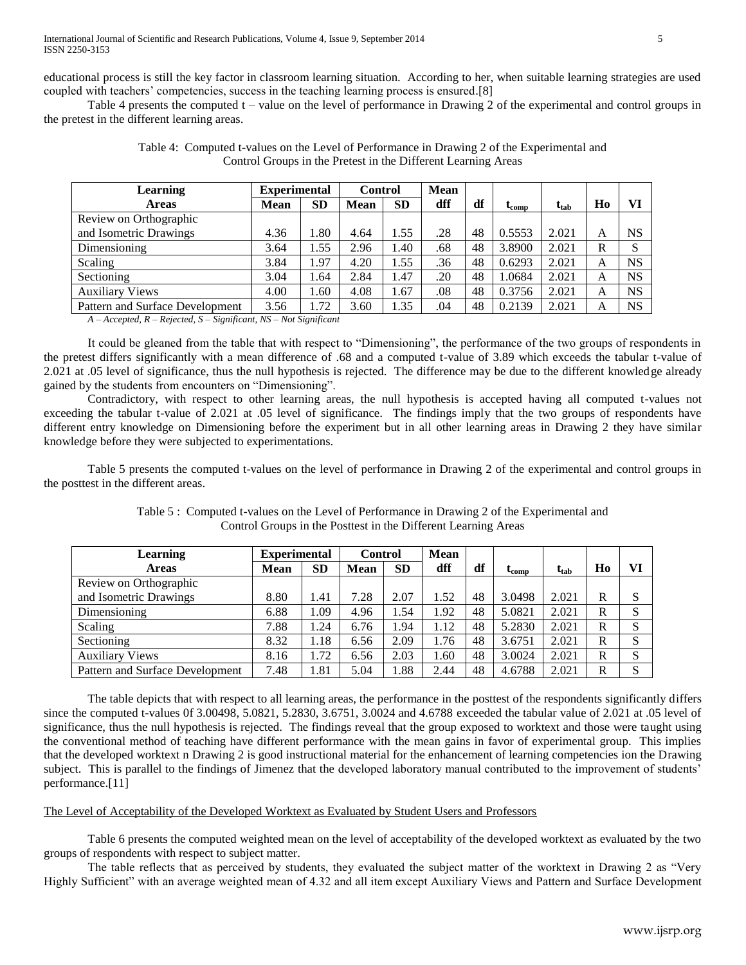educational process is still the key factor in classroom learning situation. According to her, when suitable learning strategies are used coupled with teachers' competencies, success in the teaching learning process is ensured.[8]

Table 4 presents the computed t – value on the level of performance in Drawing 2 of the experimental and control groups in the pretest in the different learning areas.

| Learning                                                                                                                                                                                                                                                                                                                                                                                                                                                                                                                                                        | <b>Experimental</b> |           |             | <b>Control</b> |     |    |                       |                                               |    |           |
|-----------------------------------------------------------------------------------------------------------------------------------------------------------------------------------------------------------------------------------------------------------------------------------------------------------------------------------------------------------------------------------------------------------------------------------------------------------------------------------------------------------------------------------------------------------------|---------------------|-----------|-------------|----------------|-----|----|-----------------------|-----------------------------------------------|----|-----------|
| <b>Areas</b>                                                                                                                                                                                                                                                                                                                                                                                                                                                                                                                                                    | <b>Mean</b>         | <b>SD</b> | <b>Mean</b> | <b>SD</b>      | dff | df | $\iota_{\text{comp}}$ | $\mathbf{t}_{\mathbf{t}\mathbf{a}\mathbf{b}}$ | Ho | VI        |
| Review on Orthographic                                                                                                                                                                                                                                                                                                                                                                                                                                                                                                                                          |                     |           |             |                |     |    |                       |                                               |    |           |
| and Isometric Drawings                                                                                                                                                                                                                                                                                                                                                                                                                                                                                                                                          | 4.36                | 1.80      | 4.64        | 1.55           | .28 | 48 | 0.5553                | 2.021                                         | A  | <b>NS</b> |
| Dimensioning                                                                                                                                                                                                                                                                                                                                                                                                                                                                                                                                                    | 3.64                | 1.55      | 2.96        | 1.40           | .68 | 48 | 3.8900                | 2.021                                         | R  |           |
| Scaling                                                                                                                                                                                                                                                                                                                                                                                                                                                                                                                                                         | 3.84                | 1.97      | 4.20        | 1.55           | .36 | 48 | 0.6293                | 2.021                                         | A  | <b>NS</b> |
| Sectioning                                                                                                                                                                                                                                                                                                                                                                                                                                                                                                                                                      | 3.04                | 1.64      | 2.84        | 1.47           | .20 | 48 | 1.0684                | 2.021                                         | A  | <b>NS</b> |
| <b>Auxiliary Views</b>                                                                                                                                                                                                                                                                                                                                                                                                                                                                                                                                          | 4.00                | 1.60      | 4.08        | 1.67           | .08 | 48 | 0.3756                | 2.021                                         | A  | <b>NS</b> |
| Pattern and Surface Development                                                                                                                                                                                                                                                                                                                                                                                                                                                                                                                                 | 3.56                | 1.72      | 3.60        | 1.35           | .04 | 48 | 0.2139                | 2.021                                         | A  | <b>NS</b> |
| $A = A \cup \dots \cup I$ <b>D</b> $B \cup \dots \cup I$ <b>C</b> $C \cup \dots \cup C \cup \dots \cup A$ <b>N</b> $C \cup \dots \cup C \cup \dots \cup C \cup \dots \cup C \cup \dots \cup C \cup \dots \cup C \cup \dots \cup C \cup \dots \cup C \cup \dots \cup C \cup \dots \cup C \cup \dots \cup C \cup \dots \cup C \cup \dots \cup C \cup \dots \cup C \cup \dots \cup C \cup \dots \cup C \cup \dots \cup C \cup \dots \cup C \cup \dots \cup C \cup \dots \cup C \cup \dots \cup C \cup \dots \cup C \cup \dots \cup C \cup \dots \cup C \cup \dots$ |                     |           |             |                |     |    |                       |                                               |    |           |

Table 4: Computed t-values on the Level of Performance in Drawing 2 of the Experimental and Control Groups in the Pretest in the Different Learning Areas

*A – Accepted, R – Rejected, S – Significant, NS – Not Significant*

It could be gleaned from the table that with respect to "Dimensioning", the performance of the two groups of respondents in the pretest differs significantly with a mean difference of .68 and a computed t-value of 3.89 which exceeds the tabular t-value of 2.021 at .05 level of significance, thus the null hypothesis is rejected. The difference may be due to the different knowledge already gained by the students from encounters on "Dimensioning".

Contradictory, with respect to other learning areas, the null hypothesis is accepted having all computed t-values not exceeding the tabular t-value of 2.021 at .05 level of significance. The findings imply that the two groups of respondents have different entry knowledge on Dimensioning before the experiment but in all other learning areas in Drawing 2 they have similar knowledge before they were subjected to experimentations.

Table 5 presents the computed t-values on the level of performance in Drawing 2 of the experimental and control groups in the posttest in the different areas.

| <b>Learning</b>                 | <b>Experimental</b> |           |             | <b>Mean</b><br><b>Control</b> |      |    |                       |                                               |              |              |
|---------------------------------|---------------------|-----------|-------------|-------------------------------|------|----|-----------------------|-----------------------------------------------|--------------|--------------|
| <b>Areas</b>                    | <b>Mean</b>         | <b>SD</b> | <b>Mean</b> | <b>SD</b>                     | dff  | df | $\iota_{\text{comp}}$ | $\mathbf{t}_{\mathbf{t}\mathbf{a}\mathbf{b}}$ | Ho           | VI           |
| Review on Orthographic          |                     |           |             |                               |      |    |                       |                                               |              |              |
| and Isometric Drawings          | 8.80                | 1.41      | 7.28        | 2.07                          | 1.52 | 48 | 3.0498                | 2.021                                         | R            | S            |
| Dimensioning                    | 6.88                | 1.09      | 4.96        | 1.54                          | 1.92 | 48 | 5.0821                | 2.021                                         | R            | S            |
| Scaling                         | 7.88                | 1.24      | 6.76        | 1.94                          | 1.12 | 48 | 5.2830                | 2.021                                         | $\mathbb{R}$ | S            |
| Sectioning                      | 8.32                | 1.18      | 6.56        | 2.09                          | 1.76 | 48 | 3.6751                | 2.021                                         | R            | <sup>S</sup> |
| <b>Auxiliary Views</b>          | 8.16                | 1.72      | 6.56        | 2.03                          | 1.60 | 48 | 3.0024                | 2.021                                         | R            | <sup>S</sup> |
| Pattern and Surface Development | 7.48                | 1.81      | 5.04        | 1.88                          | 2.44 | 48 | 4.6788                | 2.021                                         | R            | $\mathbf{C}$ |

Table 5 : Computed t-values on the Level of Performance in Drawing 2 of the Experimental and Control Groups in the Posttest in the Different Learning Areas

The table depicts that with respect to all learning areas, the performance in the posttest of the respondents significantly differs since the computed t-values 0f 3.00498, 5.0821, 5.2830, 3.6751, 3.0024 and 4.6788 exceeded the tabular value of 2.021 at .05 level of significance, thus the null hypothesis is rejected. The findings reveal that the group exposed to worktext and those were taught using the conventional method of teaching have different performance with the mean gains in favor of experimental group. This implies that the developed worktext n Drawing 2 is good instructional material for the enhancement of learning competencies ion the Drawing subject. This is parallel to the findings of Jimenez that the developed laboratory manual contributed to the improvement of students' performance.[11]

# The Level of Acceptability of the Developed Worktext as Evaluated by Student Users and Professors

Table 6 presents the computed weighted mean on the level of acceptability of the developed worktext as evaluated by the two groups of respondents with respect to subject matter.

The table reflects that as perceived by students, they evaluated the subject matter of the worktext in Drawing 2 as "Very Highly Sufficient" with an average weighted mean of 4.32 and all item except Auxiliary Views and Pattern and Surface Development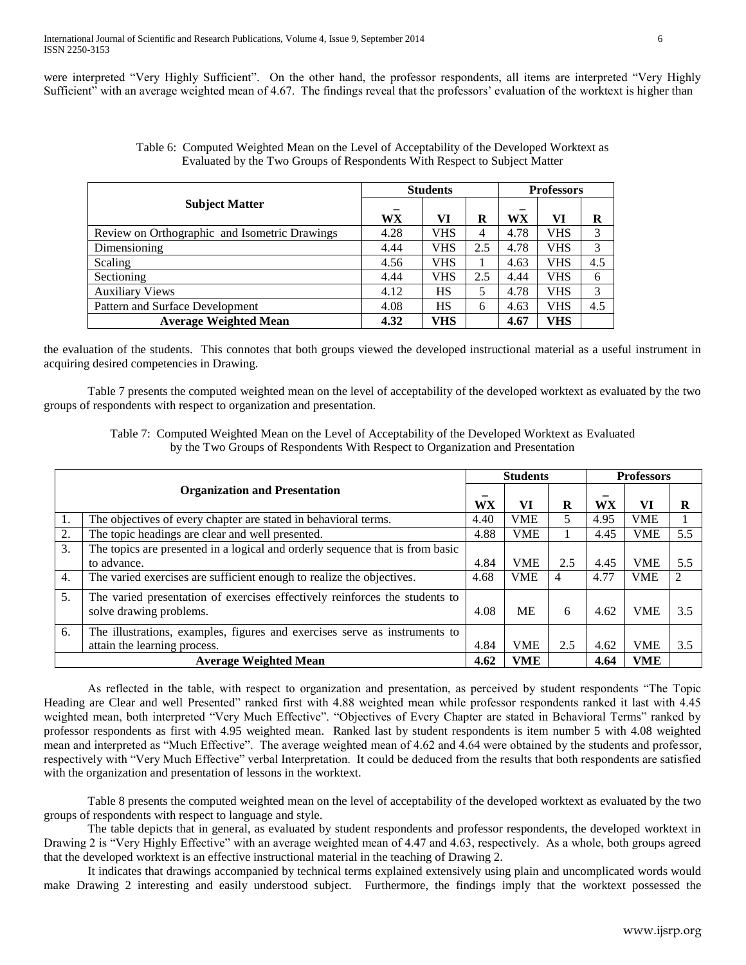were interpreted "Very Highly Sufficient". On the other hand, the professor respondents, all items are interpreted "Very Highly Sufficient" with an average weighted mean of 4.67. The findings reveal that the professors' evaluation of the worktext is higher than

|                                               |      | <b>Students</b> | <b>Professors</b> |      |            |     |
|-----------------------------------------------|------|-----------------|-------------------|------|------------|-----|
| <b>Subject Matter</b>                         | WX   | VI              | R                 | WX   | VI         | R   |
| Review on Orthographic and Isometric Drawings | 4.28 | VHS             | 4                 | 4.78 | <b>VHS</b> | 3   |
| Dimensioning                                  | 4.44 | VHS             | 2.5               | 4.78 | <b>VHS</b> | 3   |
| Scaling                                       | 4.56 | VHS             |                   | 4.63 | VHS        | 4.5 |
| Sectioning                                    | 4.44 | VHS             | 2.5               | 4.44 | VHS        | 6   |
| <b>Auxiliary Views</b>                        | 4.12 | HS              | 5                 | 4.78 | <b>VHS</b> | 3   |
| Pattern and Surface Development               | 4.08 | <b>HS</b>       | 6                 | 4.63 | <b>VHS</b> | 4.5 |
| <b>Average Weighted Mean</b>                  | 4.32 | VHS             |                   | 4.67 | VHS        |     |

| Table 6: Computed Weighted Mean on the Level of Acceptability of the Developed Worktext as |
|--------------------------------------------------------------------------------------------|
| Evaluated by the Two Groups of Respondents With Respect to Subject Matter                  |

the evaluation of the students. This connotes that both groups viewed the developed instructional material as a useful instrument in acquiring desired competencies in Drawing.

Table 7 presents the computed weighted mean on the level of acceptability of the developed worktext as evaluated by the two groups of respondents with respect to organization and presentation.

Table 7: Computed Weighted Mean on the Level of Acceptability of the Developed Worktext as Evaluated by the Two Groups of Respondents With Respect to Organization and Presentation

|    |                                                                                                        |      | <b>Students</b> |     | <b>Professors</b> |            |     |
|----|--------------------------------------------------------------------------------------------------------|------|-----------------|-----|-------------------|------------|-----|
|    | <b>Organization and Presentation</b>                                                                   | WX   | VI              | R   | WX                | VI         | R   |
|    | The objectives of every chapter are stated in behavioral terms.                                        | 4.40 | <b>VME</b>      | 5   | 4.95              | <b>VME</b> |     |
| 2. | The topic headings are clear and well presented.                                                       | 4.88 | <b>VME</b>      |     | 4.45              | <b>VME</b> | 5.5 |
| 3. | The topics are presented in a logical and orderly sequence that is from basic<br>to advance.           | 4.84 | <b>VME</b>      | 2.5 | 4.45              | <b>VME</b> | 5.5 |
| 4. | The varied exercises are sufficient enough to realize the objectives.                                  | 4.68 | <b>VME</b>      | 4   | 4.77              | <b>VME</b> | 2   |
| 5. | The varied presentation of exercises effectively reinforces the students to<br>solve drawing problems. | 4.08 | <b>ME</b>       | 6   | 4.62              | <b>VME</b> | 3.5 |
| 6. | The illustrations, examples, figures and exercises serve as instruments to                             |      |                 |     |                   |            |     |
|    | attain the learning process.                                                                           | 4.84 | <b>VME</b>      | 2.5 | 4.62              | <b>VME</b> | 3.5 |
|    | <b>Average Weighted Mean</b>                                                                           | 4.62 | <b>VME</b>      |     | 4.64              | <b>VME</b> |     |

As reflected in the table, with respect to organization and presentation, as perceived by student respondents "The Topic Heading are Clear and well Presented" ranked first with 4.88 weighted mean while professor respondents ranked it last with 4.45 weighted mean, both interpreted "Very Much Effective". "Objectives of Every Chapter are stated in Behavioral Terms" ranked by professor respondents as first with 4.95 weighted mean. Ranked last by student respondents is item number 5 with 4.08 weighted mean and interpreted as "Much Effective". The average weighted mean of 4.62 and 4.64 were obtained by the students and professor, respectively with "Very Much Effective" verbal Interpretation. It could be deduced from the results that both respondents are satisfied with the organization and presentation of lessons in the worktext.

Table 8 presents the computed weighted mean on the level of acceptability of the developed worktext as evaluated by the two groups of respondents with respect to language and style.

The table depicts that in general, as evaluated by student respondents and professor respondents, the developed worktext in Drawing 2 is "Very Highly Effective" with an average weighted mean of 4.47 and 4.63, respectively. As a whole, both groups agreed that the developed worktext is an effective instructional material in the teaching of Drawing 2.

It indicates that drawings accompanied by technical terms explained extensively using plain and uncomplicated words would make Drawing 2 interesting and easily understood subject. Furthermore, the findings imply that the worktext possessed the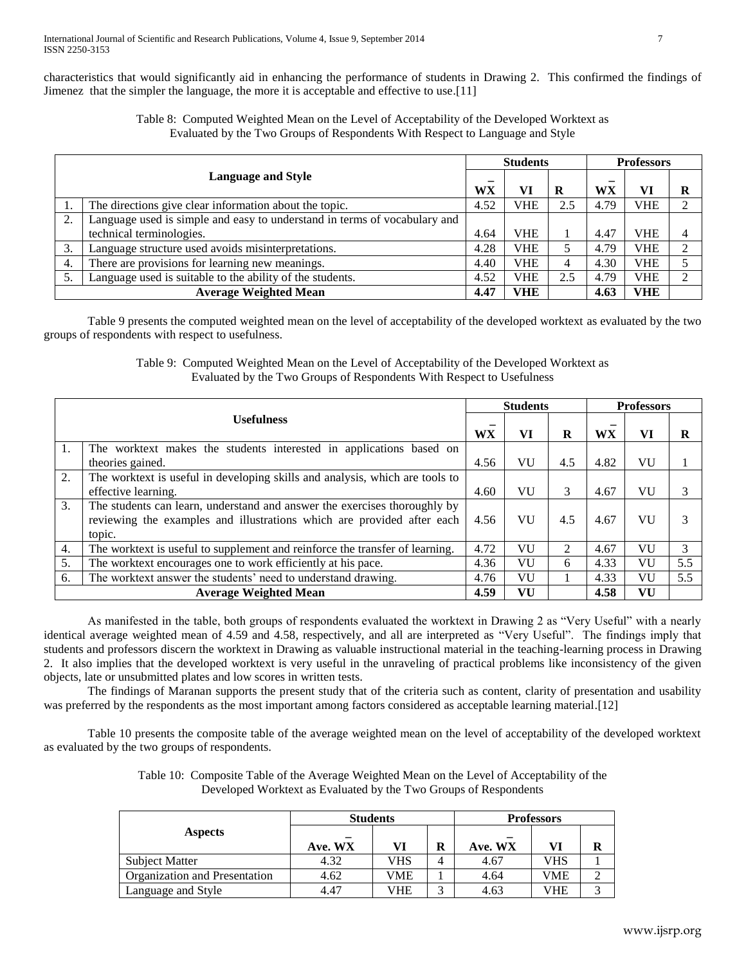characteristics that would significantly aid in enhancing the performance of students in Drawing 2. This confirmed the findings of Jimenez that the simpler the language, the more it is acceptable and effective to use.[11]

> Table 8: Computed Weighted Mean on the Level of Acceptability of the Developed Worktext as Evaluated by the Two Groups of Respondents With Respect to Language and Style

|    |                                                                           |      | <b>Students</b> |     | <b>Professors</b> |            |                |
|----|---------------------------------------------------------------------------|------|-----------------|-----|-------------------|------------|----------------|
|    | <b>Language and Style</b>                                                 | WX   | VI              | R   | WX                | VI         | R              |
|    | The directions give clear information about the topic.                    | 4.52 | <b>VHE</b>      | 2.5 | 4.79              | <b>VHE</b> | ↑              |
| 2. | Language used is simple and easy to understand in terms of vocabulary and |      |                 |     |                   |            |                |
|    | technical terminologies.                                                  | 4.64 | <b>VHE</b>      |     | 4.47              | <b>VHE</b> | $\overline{4}$ |
| 3. | Language structure used avoids misinterpretations.                        | 4.28 | <b>VHE</b>      |     | 4.79              | <b>VHE</b> | C              |
| 4. | There are provisions for learning new meanings.                           | 4.40 | <b>VHE</b>      |     | 4.30              | <b>VHE</b> | 5              |
|    | Language used is suitable to the ability of the students.                 | 4.52 | <b>VHE</b>      | 2.5 | 4.79              | <b>VHE</b> | ↑              |
|    | <b>Average Weighted Mean</b>                                              | 4.47 | <b>VHE</b>      |     | 4.63              | <b>VHE</b> |                |

Table 9 presents the computed weighted mean on the level of acceptability of the developed worktext as evaluated by the two groups of respondents with respect to usefulness.

> Table 9: Computed Weighted Mean on the Level of Acceptability of the Developed Worktext as Evaluated by the Two Groups of Respondents With Respect to Usefulness

|    |                                                                              |           | <b>Students</b> |                             |           | <b>Professors</b> |     |
|----|------------------------------------------------------------------------------|-----------|-----------------|-----------------------------|-----------|-------------------|-----|
|    | <b>Usefulness</b>                                                            | <b>WX</b> | VI              | R                           | <b>WX</b> | VI                | R   |
| 1. | The worktext makes the students interested in applications based on          |           |                 |                             |           |                   |     |
|    | theories gained.                                                             | 4.56      | VU              | 4.5                         | 4.82      | VU                |     |
| 2. | The worktext is useful in developing skills and analysis, which are tools to |           |                 |                             |           |                   |     |
|    | effective learning.                                                          | 4.60      | VU              | 3                           | 4.67      | VU                | 3   |
| 3. | The students can learn, understand and answer the exercises thoroughly by    |           |                 |                             |           |                   |     |
|    | reviewing the examples and illustrations which are provided after each       | 4.56      | VU              | 4.5                         | 4.67      | VU                | 3   |
|    | topic.                                                                       |           |                 |                             |           |                   |     |
| 4. | The worktext is useful to supplement and reinforce the transfer of learning. | 4.72      | VU              | $\mathcal{D}_{\mathcal{L}}$ | 4.67      | VU                | 3   |
| 5. | The worktext encourages one to work efficiently at his pace.                 | 4.36      | VU              | 6                           | 4.33      | VU                | 5.5 |
| 6. | The worktext answer the students' need to understand drawing.                | 4.76      | VU              |                             | 4.33      | VU                | 5.5 |
|    | <b>Average Weighted Mean</b>                                                 | 4.59      | VU              |                             | 4.58      | VU                |     |

As manifested in the table, both groups of respondents evaluated the worktext in Drawing 2 as "Very Useful" with a nearly identical average weighted mean of 4.59 and 4.58, respectively, and all are interpreted as "Very Useful". The findings imply that students and professors discern the worktext in Drawing as valuable instructional material in the teaching-learning process in Drawing 2. It also implies that the developed worktext is very useful in the unraveling of practical problems like inconsistency of the given objects, late or unsubmitted plates and low scores in written tests.

The findings of Maranan supports the present study that of the criteria such as content, clarity of presentation and usability was preferred by the respondents as the most important among factors considered as acceptable learning material.[12]

Table 10 presents the composite table of the average weighted mean on the level of acceptability of the developed worktext as evaluated by the two groups of respondents.

| Table 10: Composite Table of the Average Weighted Mean on the Level of Acceptability of the |
|---------------------------------------------------------------------------------------------|
| Developed Worktext as Evaluated by the Two Groups of Respondents                            |
|                                                                                             |

|                               | <b>Students</b> |     | <b>Professors</b> |         |     |   |
|-------------------------------|-----------------|-----|-------------------|---------|-----|---|
| <b>Aspects</b>                | Ave. WX         | VI  | R                 | Ave. WX | VI  | R |
| <b>Subject Matter</b>         | 4.32            | VHS | 4                 | 4.67    | VHS |   |
| Organization and Presentation | 4.62            | VME |                   | 4.64    | VME |   |
| Language and Style            | 4.47            | VHE | ⌒                 | 4.63    | VHE |   |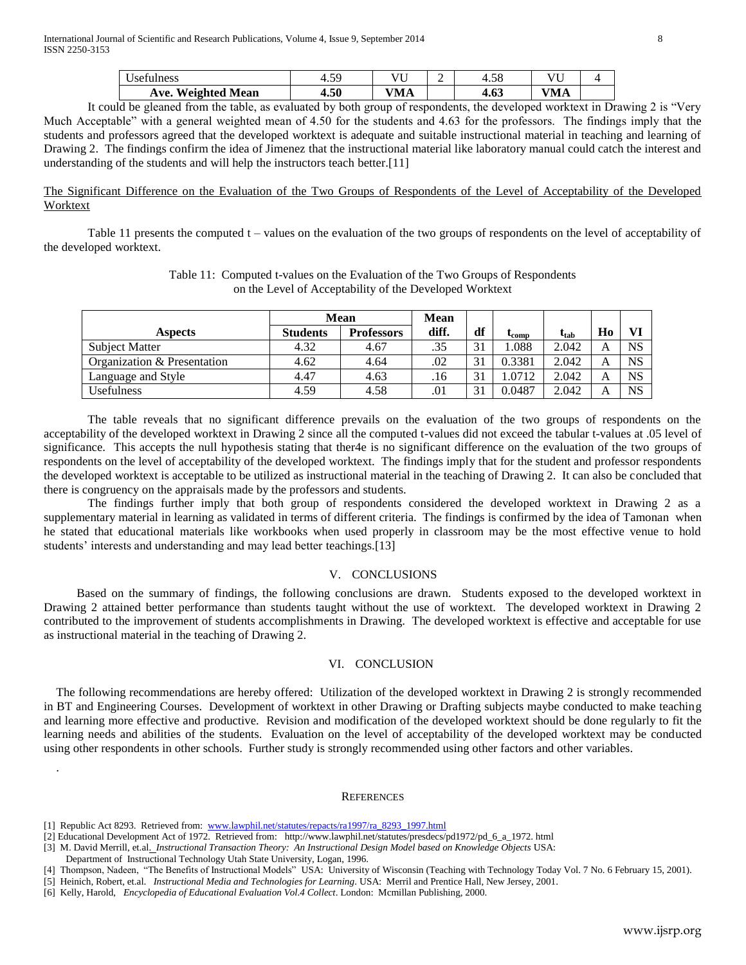| <b>Weighted Mean</b><br>Ave. | 4.50      | VMA   |   | ہ ہ<br>7.VJ        | МA          |  |
|------------------------------|-----------|-------|---|--------------------|-------------|--|
| Iness<br>$\epsilon$          | 50<br>τ.⊃ | $- -$ | - | $\epsilon$<br>+.JO | $  -$<br>៶៸ |  |

It could be gleaned from the table, as evaluated by both group of respondents, the developed worktext in Drawing 2 is "Very Much Acceptable" with a general weighted mean of 4.50 for the students and 4.63 for the professors. The findings imply that the students and professors agreed that the developed worktext is adequate and suitable instructional material in teaching and learning of Drawing 2. The findings confirm the idea of Jimenez that the instructional material like laboratory manual could catch the interest and understanding of the students and will help the instructors teach better.[11]

The Significant Difference on the Evaluation of the Two Groups of Respondents of the Level of Acceptability of the Developed Worktext

Table 11 presents the computed t – values on the evaluation of the two groups of respondents on the level of acceptability of the developed worktext.

> Table 11: Computed t-values on the Evaluation of the Two Groups of Respondents on the Level of Acceptability of the Developed Worktext

|                             | Mean            |                   | <b>Mean</b> |    |             |           |                |           |
|-----------------------------|-----------------|-------------------|-------------|----|-------------|-----------|----------------|-----------|
| <b>Aspects</b>              | <b>Students</b> | <b>Professors</b> | diff.       | df | <b>Comp</b> | $t_{tab}$ | H <sub>0</sub> |           |
| <b>Subject Matter</b>       | 4.32            | 4.67              | .35         | 21 | 1.088       | 2.042     |                | <b>NS</b> |
| Organization & Presentation | 4.62            | 4.64              | .02         | 31 | 0.3381      | 2.042     |                | <b>NS</b> |
| Language and Style          | 4.47            | 4.63              | .16         | 31 | .0712       | 2.042     |                | <b>NS</b> |
| <b>Usefulness</b>           | 4.59            | 4.58              | .01         | 21 | 0.0487      | 2.042     |                | <b>NS</b> |

The table reveals that no significant difference prevails on the evaluation of the two groups of respondents on the acceptability of the developed worktext in Drawing 2 since all the computed t-values did not exceed the tabular t-values at .05 level of significance. This accepts the null hypothesis stating that ther4e is no significant difference on the evaluation of the two groups of respondents on the level of acceptability of the developed worktext. The findings imply that for the student and professor respondents the developed worktext is acceptable to be utilized as instructional material in the teaching of Drawing 2. It can also be concluded that there is congruency on the appraisals made by the professors and students.

The findings further imply that both group of respondents considered the developed worktext in Drawing 2 as a supplementary material in learning as validated in terms of different criteria. The findings is confirmed by the idea of Tamonan when he stated that educational materials like workbooks when used properly in classroom may be the most effective venue to hold students' interests and understanding and may lead better teachings.[13]

# V. CONCLUSIONS

Based on the summary of findings, the following conclusions are drawn. Students exposed to the developed worktext in Drawing 2 attained better performance than students taught without the use of worktext. The developed worktext in Drawing 2 contributed to the improvement of students accomplishments in Drawing. The developed worktext is effective and acceptable for use as instructional material in the teaching of Drawing 2.

# VI. CONCLUSION

The following recommendations are hereby offered: Utilization of the developed worktext in Drawing 2 is strongly recommended in BT and Engineering Courses. Development of worktext in other Drawing or Drafting subjects maybe conducted to make teaching and learning more effective and productive. Revision and modification of the developed worktext should be done regularly to fit the learning needs and abilities of the students. Evaluation on the level of acceptability of the developed worktext may be conducted using other respondents in other schools. Further study is strongly recommended using other factors and other variables.

### **REFERENCES**

.

<sup>[1]</sup> Republic Act 8293. Retrieved from: [www.lawphil.net/statutes/repacts/ra1997/ra\\_8293\\_1997.html](http://www.lawphil.net/statutes/repacts/ra1997/ra_8293_1997.html)

<sup>[2]</sup> Educational Development Act of 1972. Retrieved from: http://www.lawphil.net/statutes/presdecs/pd1972/pd\_6\_a\_1972. html

<sup>[3]</sup> M. David Merrill, et.al. *Instructional Transaction Theory: An Instructional Design Model based on Knowledge Objects* USA: Department of Instructional Technology Utah State University, Logan, 1996.

<sup>[4]</sup> Thompson, Nadeen, "The Benefits of Instructional Models" USA: University of Wisconsin (Teaching with Technology Today Vol. 7 No. 6 February 15, 2001).

<sup>[5]</sup> Heinich, Robert, et.al. *Instructional Media and Technologies for Learning*. USA: Merril and Prentice Hall, New Jersey, 2001.

<sup>[6]</sup> Kelly, Harold, *Encyclopedia of Educational Evaluation Vol.4 Collect*. London: Mcmillan Publishing, 2000.